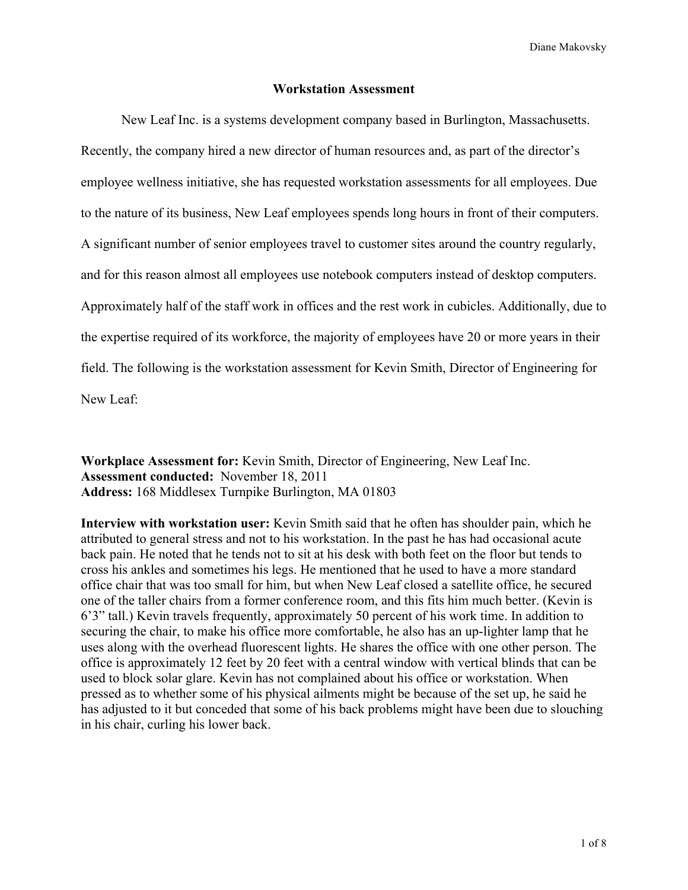Diane Makovsky

#### **Workstation Assessment**

New Leaf Inc. is a systems development company based in Burlington, Massachusetts. Recently, the company hired a new director of human resources and, as part of the director's employee wellness initiative, she has requested workstation assessments for all employees. Due to the nature of its business, New Leaf employees spends long hours in front of their computers. A significant number of senior employees travel to customer sites around the country regularly, and for this reason almost all employees use notebook computers instead of desktop computers. Approximately half of the staff work in offices and the rest work in cubicles. Additionally, due to the expertise required of its workforce, the majority of employees have 20 or more years in their field. The following is the workstation assessment for Kevin Smith, Director of Engineering for New Leaf:

**Workplace Assessment for:** Kevin Smith, Director of Engineering, New Leaf Inc. **Assessment conducted:** November 18, 2011 **Address:** 168 Middlesex Turnpike Burlington, MA 01803

**Interview with workstation user:** Kevin Smith said that he often has shoulder pain, which he attributed to general stress and not to his workstation. In the past he has had occasional acute back pain. He noted that he tends not to sit at his desk with both feet on the floor but tends to cross his ankles and sometimes his legs. He mentioned that he used to have a more standard office chair that was too small for him, but when New Leaf closed a satellite office, he secured one of the taller chairs from a former conference room, and this fits him much better. (Kevin is 6'3" tall.) Kevin travels frequently, approximately 50 percent of his work time. In addition to securing the chair, to make his office more comfortable, he also has an up-lighter lamp that he uses along with the overhead fluorescent lights. He shares the office with one other person. The office is approximately 12 feet by 20 feet with a central window with vertical blinds that can be used to block solar glare. Kevin has not complained about his office or workstation. When pressed as to whether some of his physical ailments might be because of the set up, he said he has adjusted to it but conceded that some of his back problems might have been due to slouching in his chair, curling his lower back.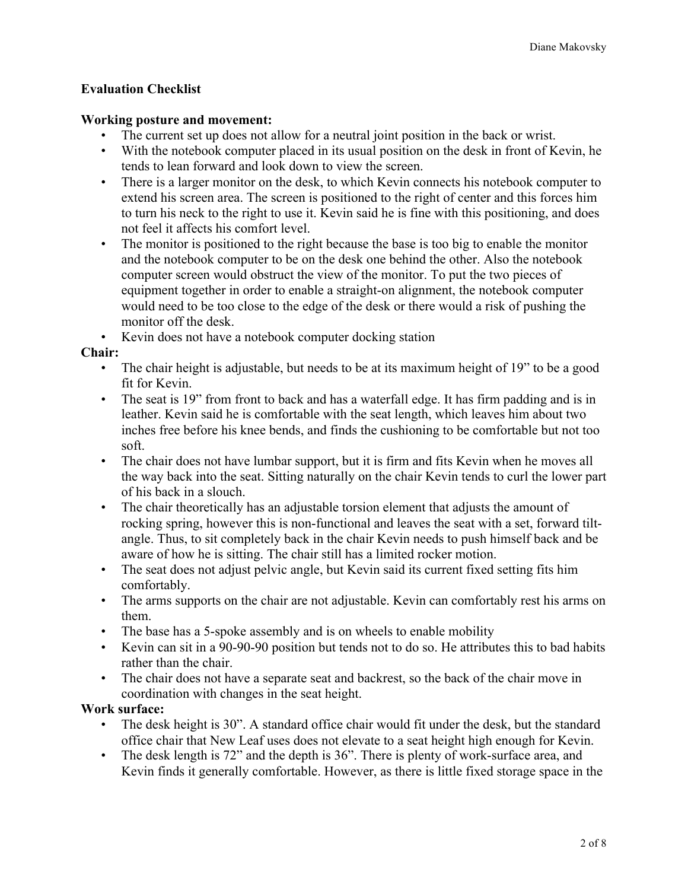## **Evaluation Checklist**

#### **Working posture and movement:**

- The current set up does not allow for a neutral joint position in the back or wrist.
- With the notebook computer placed in its usual position on the desk in front of Kevin, he tends to lean forward and look down to view the screen.
- There is a larger monitor on the desk, to which Kevin connects his notebook computer to extend his screen area. The screen is positioned to the right of center and this forces him to turn his neck to the right to use it. Kevin said he is fine with this positioning, and does not feel it affects his comfort level.
- The monitor is positioned to the right because the base is too big to enable the monitor and the notebook computer to be on the desk one behind the other. Also the notebook computer screen would obstruct the view of the monitor. To put the two pieces of equipment together in order to enable a straight-on alignment, the notebook computer would need to be too close to the edge of the desk or there would a risk of pushing the monitor off the desk.
- Kevin does not have a notebook computer docking station

#### **Chair:**

- The chair height is adjustable, but needs to be at its maximum height of 19" to be a good fit for Kevin.
- The seat is 19" from front to back and has a waterfall edge. It has firm padding and is in leather. Kevin said he is comfortable with the seat length, which leaves him about two inches free before his knee bends, and finds the cushioning to be comfortable but not too soft.
- The chair does not have lumbar support, but it is firm and fits Kevin when he moves all the way back into the seat. Sitting naturally on the chair Kevin tends to curl the lower part of his back in a slouch.
- The chair theoretically has an adjustable torsion element that adjusts the amount of rocking spring, however this is non-functional and leaves the seat with a set, forward tiltangle. Thus, to sit completely back in the chair Kevin needs to push himself back and be aware of how he is sitting. The chair still has a limited rocker motion.
- The seat does not adjust pelvic angle, but Kevin said its current fixed setting fits him comfortably.
- The arms supports on the chair are not adjustable. Kevin can comfortably rest his arms on them.
- The base has a 5-spoke assembly and is on wheels to enable mobility
- Kevin can sit in a 90-90-90 position but tends not to do so. He attributes this to bad habits rather than the chair.
- The chair does not have a separate seat and backrest, so the back of the chair move in coordination with changes in the seat height.

### **Work surface:**

- The desk height is 30". A standard office chair would fit under the desk, but the standard office chair that New Leaf uses does not elevate to a seat height high enough for Kevin.
- The desk length is 72" and the depth is 36". There is plenty of work-surface area, and Kevin finds it generally comfortable. However, as there is little fixed storage space in the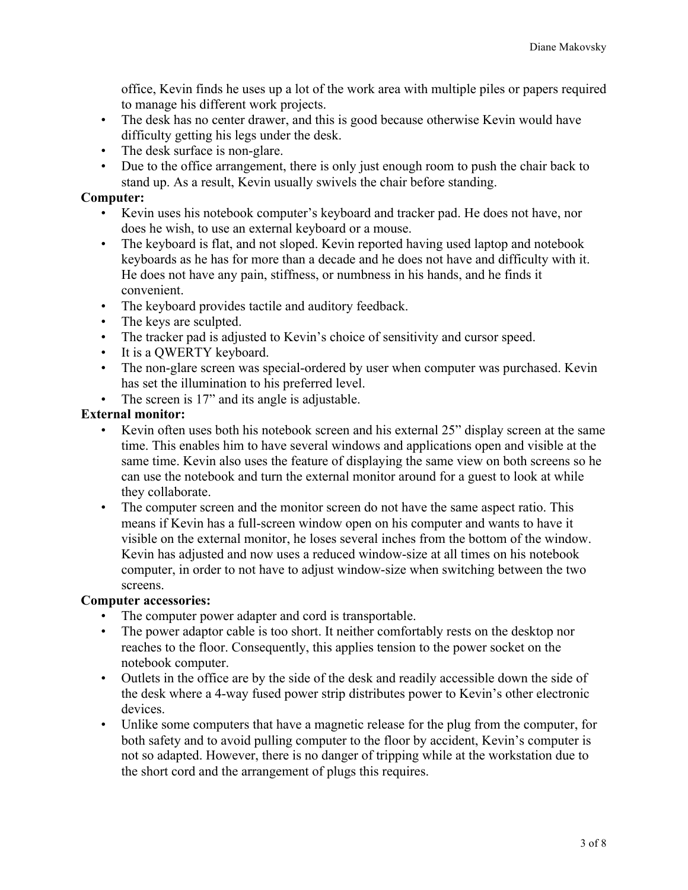office, Kevin finds he uses up a lot of the work area with multiple piles or papers required to manage his different work projects.

- The desk has no center drawer, and this is good because otherwise Kevin would have difficulty getting his legs under the desk.
- The desk surface is non-glare.
- Due to the office arrangement, there is only just enough room to push the chair back to stand up. As a result, Kevin usually swivels the chair before standing.

#### **Computer:**

- Kevin uses his notebook computer's keyboard and tracker pad. He does not have, nor does he wish, to use an external keyboard or a mouse.
- The keyboard is flat, and not sloped. Kevin reported having used laptop and notebook keyboards as he has for more than a decade and he does not have and difficulty with it. He does not have any pain, stiffness, or numbness in his hands, and he finds it convenient.
- The keyboard provides tactile and auditory feedback.
- The keys are sculpted.
- The tracker pad is adjusted to Kevin's choice of sensitivity and cursor speed.
- It is a QWERTY keyboard.
- The non-glare screen was special-ordered by user when computer was purchased. Kevin has set the illumination to his preferred level.
- The screen is 17" and its angle is adjustable.

# **External monitor:**

- Kevin often uses both his notebook screen and his external 25" display screen at the same time. This enables him to have several windows and applications open and visible at the same time. Kevin also uses the feature of displaying the same view on both screens so he can use the notebook and turn the external monitor around for a guest to look at while they collaborate.
- The computer screen and the monitor screen do not have the same aspect ratio. This means if Kevin has a full-screen window open on his computer and wants to have it visible on the external monitor, he loses several inches from the bottom of the window. Kevin has adjusted and now uses a reduced window-size at all times on his notebook computer, in order to not have to adjust window-size when switching between the two screens.

### **Computer accessories:**

- The computer power adapter and cord is transportable.
- The power adaptor cable is too short. It neither comfortably rests on the desktop nor reaches to the floor. Consequently, this applies tension to the power socket on the notebook computer.
- Outlets in the office are by the side of the desk and readily accessible down the side of the desk where a 4-way fused power strip distributes power to Kevin's other electronic devices.
- Unlike some computers that have a magnetic release for the plug from the computer, for both safety and to avoid pulling computer to the floor by accident, Kevin's computer is not so adapted. However, there is no danger of tripping while at the workstation due to the short cord and the arrangement of plugs this requires.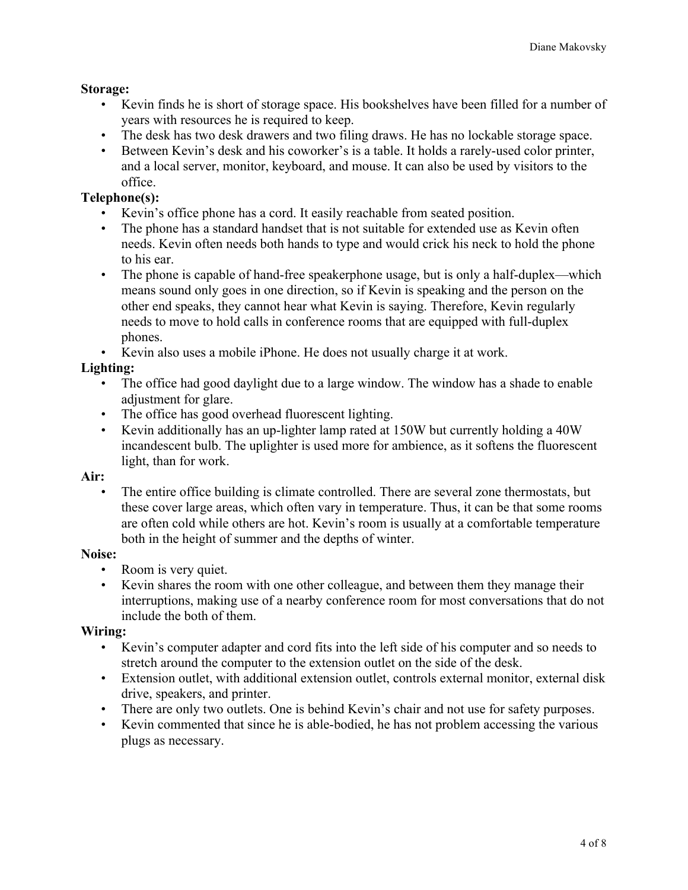# **Storage:**

- Kevin finds he is short of storage space. His bookshelves have been filled for a number of years with resources he is required to keep.
- The desk has two desk drawers and two filing draws. He has no lockable storage space.
- Between Kevin's desk and his coworker's is a table. It holds a rarely-used color printer, and a local server, monitor, keyboard, and mouse. It can also be used by visitors to the office.

# **Telephone(s):**

- Kevin's office phone has a cord. It easily reachable from seated position.
- The phone has a standard handset that is not suitable for extended use as Kevin often needs. Kevin often needs both hands to type and would crick his neck to hold the phone to his ear.
- The phone is capable of hand-free speakerphone usage, but is only a half-duplex—which means sound only goes in one direction, so if Kevin is speaking and the person on the other end speaks, they cannot hear what Kevin is saying. Therefore, Kevin regularly needs to move to hold calls in conference rooms that are equipped with full-duplex phones.
- Kevin also uses a mobile iPhone. He does not usually charge it at work.

# **Lighting:**

- The office had good daylight due to a large window. The window has a shade to enable adjustment for glare.
- The office has good overhead fluorescent lighting.
- Kevin additionally has an up-lighter lamp rated at 150W but currently holding a 40W incandescent bulb. The uplighter is used more for ambience, as it softens the fluorescent light, than for work.

# **Air:**

• The entire office building is climate controlled. There are several zone thermostats, but these cover large areas, which often vary in temperature. Thus, it can be that some rooms are often cold while others are hot. Kevin's room is usually at a comfortable temperature both in the height of summer and the depths of winter.

### **Noise:**

- Room is very quiet.
- Kevin shares the room with one other colleague, and between them they manage their interruptions, making use of a nearby conference room for most conversations that do not include the both of them.

### **Wiring:**

- Kevin's computer adapter and cord fits into the left side of his computer and so needs to stretch around the computer to the extension outlet on the side of the desk.
- Extension outlet, with additional extension outlet, controls external monitor, external disk drive, speakers, and printer.
- There are only two outlets. One is behind Kevin's chair and not use for safety purposes.
- Kevin commented that since he is able-bodied, he has not problem accessing the various plugs as necessary.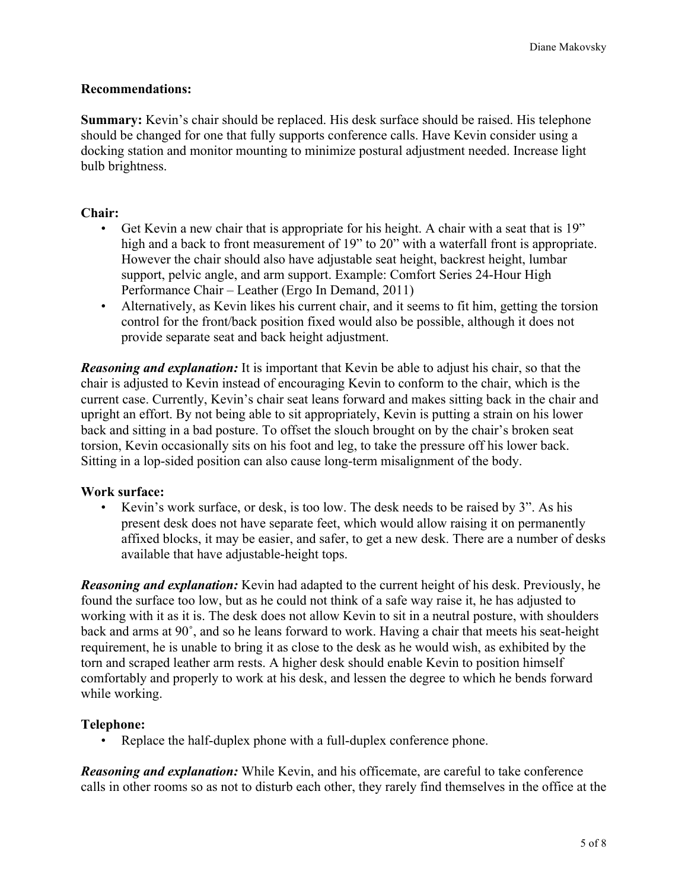#### **Recommendations:**

**Summary:** Kevin's chair should be replaced. His desk surface should be raised. His telephone should be changed for one that fully supports conference calls. Have Kevin consider using a docking station and monitor mounting to minimize postural adjustment needed. Increase light bulb brightness.

#### **Chair:**

- Get Kevin a new chair that is appropriate for his height. A chair with a seat that is 19" high and a back to front measurement of 19" to 20" with a waterfall front is appropriate. However the chair should also have adjustable seat height, backrest height, lumbar support, pelvic angle, and arm support. Example: Comfort Series 24-Hour High Performance Chair – Leather (Ergo In Demand, 2011)
- Alternatively, as Kevin likes his current chair, and it seems to fit him, getting the torsion control for the front/back position fixed would also be possible, although it does not provide separate seat and back height adjustment.

*Reasoning and explanation:* It is important that Kevin be able to adjust his chair, so that the chair is adjusted to Kevin instead of encouraging Kevin to conform to the chair, which is the current case. Currently, Kevin's chair seat leans forward and makes sitting back in the chair and upright an effort. By not being able to sit appropriately, Kevin is putting a strain on his lower back and sitting in a bad posture. To offset the slouch brought on by the chair's broken seat torsion, Kevin occasionally sits on his foot and leg, to take the pressure off his lower back. Sitting in a lop-sided position can also cause long-term misalignment of the body.

#### **Work surface:**

• Kevin's work surface, or desk, is too low. The desk needs to be raised by 3". As his present desk does not have separate feet, which would allow raising it on permanently affixed blocks, it may be easier, and safer, to get a new desk. There are a number of desks available that have adjustable-height tops.

*Reasoning and explanation:* Kevin had adapted to the current height of his desk. Previously, he found the surface too low, but as he could not think of a safe way raise it, he has adjusted to working with it as it is. The desk does not allow Kevin to sit in a neutral posture, with shoulders back and arms at 90˚, and so he leans forward to work. Having a chair that meets his seat-height requirement, he is unable to bring it as close to the desk as he would wish, as exhibited by the torn and scraped leather arm rests. A higher desk should enable Kevin to position himself comfortably and properly to work at his desk, and lessen the degree to which he bends forward while working.

#### **Telephone:**

Replace the half-duplex phone with a full-duplex conference phone.

*Reasoning and explanation:* While Kevin, and his officemate, are careful to take conference calls in other rooms so as not to disturb each other, they rarely find themselves in the office at the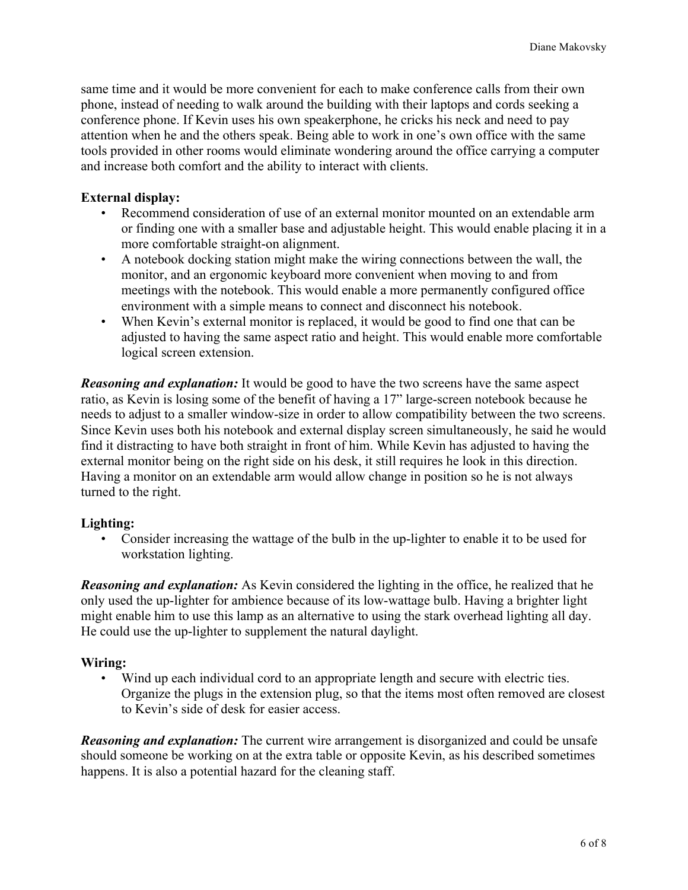same time and it would be more convenient for each to make conference calls from their own phone, instead of needing to walk around the building with their laptops and cords seeking a conference phone. If Kevin uses his own speakerphone, he cricks his neck and need to pay attention when he and the others speak. Being able to work in one's own office with the same tools provided in other rooms would eliminate wondering around the office carrying a computer and increase both comfort and the ability to interact with clients.

#### **External display:**

- Recommend consideration of use of an external monitor mounted on an extendable arm or finding one with a smaller base and adjustable height. This would enable placing it in a more comfortable straight-on alignment.
- A notebook docking station might make the wiring connections between the wall, the monitor, and an ergonomic keyboard more convenient when moving to and from meetings with the notebook. This would enable a more permanently configured office environment with a simple means to connect and disconnect his notebook.
- When Kevin's external monitor is replaced, it would be good to find one that can be adjusted to having the same aspect ratio and height. This would enable more comfortable logical screen extension.

*Reasoning and explanation:* It would be good to have the two screens have the same aspect ratio, as Kevin is losing some of the benefit of having a 17" large-screen notebook because he needs to adjust to a smaller window-size in order to allow compatibility between the two screens. Since Kevin uses both his notebook and external display screen simultaneously, he said he would find it distracting to have both straight in front of him. While Kevin has adjusted to having the external monitor being on the right side on his desk, it still requires he look in this direction. Having a monitor on an extendable arm would allow change in position so he is not always turned to the right.

#### **Lighting:**

• Consider increasing the wattage of the bulb in the up-lighter to enable it to be used for workstation lighting.

*Reasoning and explanation:* As Kevin considered the lighting in the office, he realized that he only used the up-lighter for ambience because of its low-wattage bulb. Having a brighter light might enable him to use this lamp as an alternative to using the stark overhead lighting all day. He could use the up-lighter to supplement the natural daylight.

### **Wiring:**

• Wind up each individual cord to an appropriate length and secure with electric ties. Organize the plugs in the extension plug, so that the items most often removed are closest to Kevin's side of desk for easier access.

*Reasoning and explanation:* The current wire arrangement is disorganized and could be unsafe should someone be working on at the extra table or opposite Kevin, as his described sometimes happens. It is also a potential hazard for the cleaning staff.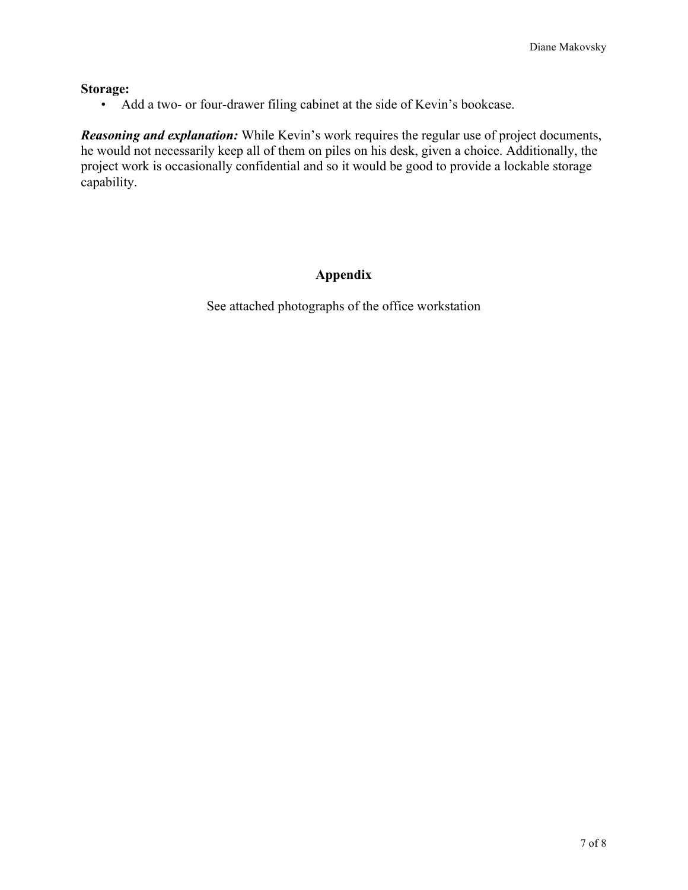#### **Storage:**

• Add a two- or four-drawer filing cabinet at the side of Kevin's bookcase.

*Reasoning and explanation:* While Kevin's work requires the regular use of project documents, he would not necessarily keep all of them on piles on his desk, given a choice. Additionally, the project work is occasionally confidential and so it would be good to provide a lockable storage capability.

# **Appendix**

See attached photographs of the office workstation